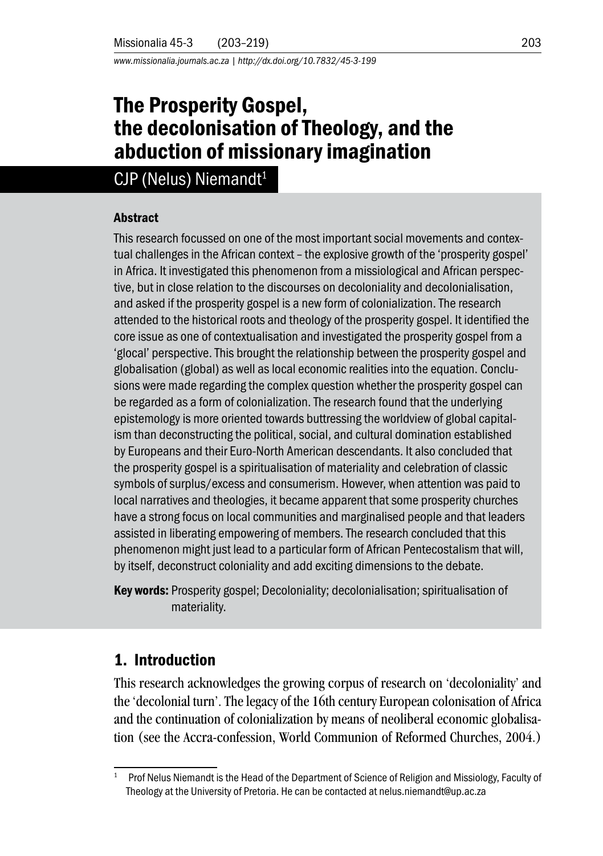*www.missionalia.journals.ac.za | http://dx.doi.org/10.7832/45-3-199*

# The Prosperity Gospel, the decolonisation of Theology, and the abduction of missionary imagination

## $CJP$  (Nelus) Niemandt<sup>1</sup>

#### Abstract

This research focussed on one of the most important social movements and contextual challenges in the African context – the explosive growth of the 'prosperity gospel' in Africa. It investigated this phenomenon from a missiological and African perspective, but in close relation to the discourses on decoloniality and decolonialisation, and asked if the prosperity gospel is a new form of colonialization. The research attended to the historical roots and theology of the prosperity gospel. It identified the core issue as one of contextualisation and investigated the prosperity gospel from a 'glocal' perspective. This brought the relationship between the prosperity gospel and globalisation (global) as well as local economic realities into the equation. Conclusions were made regarding the complex question whether the prosperity gospel can be regarded as a form of colonialization. The research found that the underlying epistemology is more oriented towards buttressing the worldview of global capitalism than deconstructing the political, social, and cultural domination established by Europeans and their Euro-North American descendants. It also concluded that the prosperity gospel is a spiritualisation of materiality and celebration of classic symbols of surplus/excess and consumerism. However, when attention was paid to local narratives and theologies, it became apparent that some prosperity churches have a strong focus on local communities and marginalised people and that leaders assisted in liberating empowering of members. The research concluded that this phenomenon might just lead to a particular form of African Pentecostalism that will, by itself, deconstruct coloniality and add exciting dimensions to the debate.

Key words: Prosperity gospel; Decoloniality; decolonialisation; spiritualisation of materiality.

### 1. Introduction

This research acknowledges the growing corpus of research on 'decoloniality' and the 'decolonial turn'. The legacy of the 16th century European colonisation of Africa and the continuation of colonialization by means of neoliberal economic globalisation (see the Accra-confession, World Communion of Reformed Churches, 2004.)

<sup>1</sup> Prof Nelus Niemandt is the Head of the Department of Science of Religion and Missiology, Faculty of Theology at the University of Pretoria. He can be contacted at nelus.niemandt@up.ac.za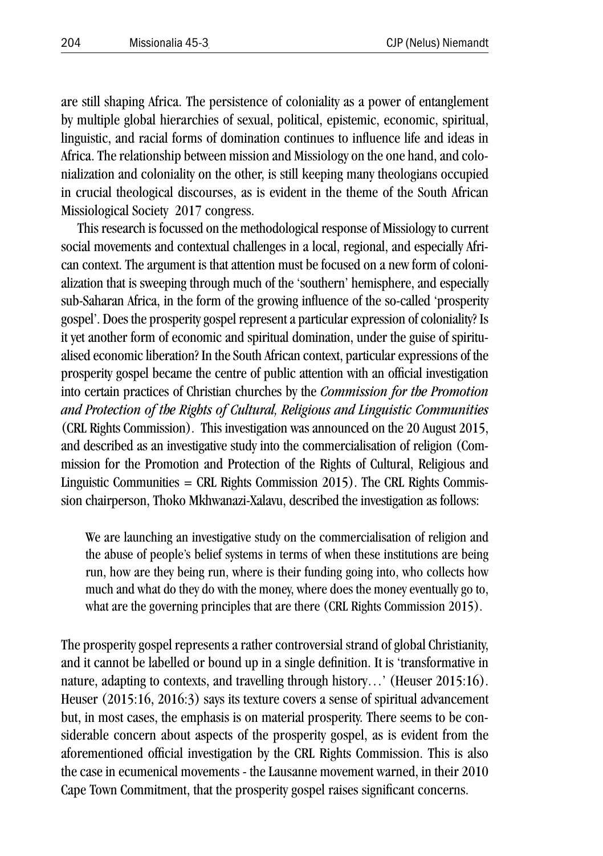are still shaping Africa. The persistence of coloniality as a power of entanglement by multiple global hierarchies of sexual, political, epistemic, economic, spiritual, linguistic, and racial forms of domination continues to influence life and ideas in Africa. The relationship between mission and Missiology on the one hand, and colonialization and coloniality on the other, is still keeping many theologians occupied in crucial theological discourses, as is evident in the theme of the South African Missiological Society 2017 congress.

This research is focussed on the methodological response of Missiology to current social movements and contextual challenges in a local, regional, and especially African context. The argument is that attention must be focused on a new form of colonialization that is sweeping through much of the 'southern' hemisphere, and especially sub-Saharan Africa, in the form of the growing influence of the so-called 'prosperity gospel'. Does the prosperity gospel represent a particular expression of coloniality? Is it yet another form of economic and spiritual domination, under the guise of spiritualised economic liberation? In the South African context, particular expressions of the prosperity gospel became the centre of public attention with an official investigation into certain practices of Christian churches by the *Commission for the Promotion and Protection of the Rights of Cultural, Religious and Linguistic Communities* (CRL Rights Commission). This investigation was announced on the 20 August 2015, and described as an investigative study into the commercialisation of religion (Commission for the Promotion and Protection of the Rights of Cultural, Religious and Linguistic Communities  $=$  CRL Rights Commission 2015). The CRL Rights Commission chairperson, Thoko Mkhwanazi-Xalavu, described the investigation as follows:

We are launching an investigative study on the commercialisation of religion and the abuse of people's belief systems in terms of when these institutions are being run, how are they being run, where is their funding going into, who collects how much and what do they do with the money, where does the money eventually go to, what are the governing principles that are there (CRL Rights Commission 2015).

The prosperity gospel represents a rather controversial strand of global Christianity, and it cannot be labelled or bound up in a single definition. It is 'transformative in nature, adapting to contexts, and travelling through history…' (Heuser 2015:16). Heuser (2015:16, 2016:3) says its texture covers a sense of spiritual advancement but, in most cases, the emphasis is on material prosperity. There seems to be considerable concern about aspects of the prosperity gospel, as is evident from the aforementioned official investigation by the CRL Rights Commission. This is also the case in ecumenical movements - the Lausanne movement warned, in their 2010 Cape Town Commitment, that the prosperity gospel raises significant concerns.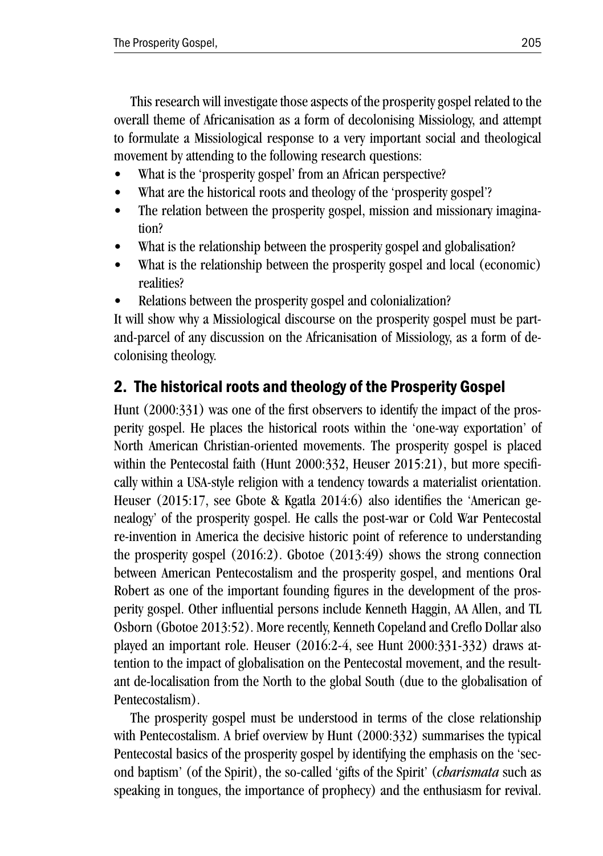This research will investigate those aspects of the prosperity gospel related to the overall theme of Africanisation as a form of decolonising Missiology, and attempt to formulate a Missiological response to a very important social and theological movement by attending to the following research questions:

- What is the 'prosperity gospel' from an African perspective?
- What are the historical roots and theology of the 'prosperity gospel'?
- The relation between the prosperity gospel, mission and missionary imagination?
- What is the relationship between the prosperity gospel and globalisation?
- What is the relationship between the prosperity gospel and local (economic) realities?
- Relations between the prosperity gospel and colonialization?

It will show why a Missiological discourse on the prosperity gospel must be partand-parcel of any discussion on the Africanisation of Missiology, as a form of decolonising theology.

## 2. The historical roots and theology of the Prosperity Gospel

Hunt (2000:331) was one of the first observers to identify the impact of the prosperity gospel. He places the historical roots within the 'one-way exportation' of North American Christian-oriented movements. The prosperity gospel is placed within the Pentecostal faith (Hunt 2000:332, Heuser 2015:21), but more specifically within a USA-style religion with a tendency towards a materialist orientation. Heuser (2015:17, see Gbote & Kgatla 2014:6) also identifies the 'American genealogy' of the prosperity gospel. He calls the post-war or Cold War Pentecostal re-invention in America the decisive historic point of reference to understanding the prosperity gospel  $(2016:2)$ . Gbotoe  $(2013:49)$  shows the strong connection between American Pentecostalism and the prosperity gospel, and mentions Oral Robert as one of the important founding figures in the development of the prosperity gospel. Other influential persons include Kenneth Haggin, AA Allen, and TL Osborn (Gbotoe 2013:52). More recently, Kenneth Copeland and Creflo Dollar also played an important role. Heuser (2016:2-4, see Hunt 2000:331-332) draws attention to the impact of globalisation on the Pentecostal movement, and the resultant de-localisation from the North to the global South (due to the globalisation of Pentecostalism).

The prosperity gospel must be understood in terms of the close relationship with Pentecostalism. A brief overview by Hunt (2000:332) summarises the typical Pentecostal basics of the prosperity gospel by identifying the emphasis on the 'second baptism' (of the Spirit), the so-called 'gifts of the Spirit' (*charismata* such as speaking in tongues, the importance of prophecy) and the enthusiasm for revival.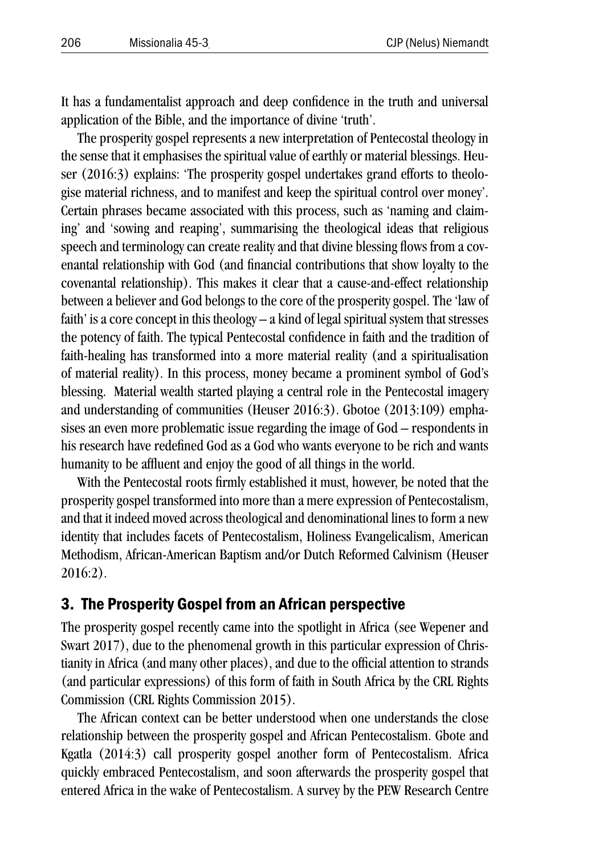It has a fundamentalist approach and deep confidence in the truth and universal application of the Bible, and the importance of divine 'truth'.

The prosperity gospel represents a new interpretation of Pentecostal theology in the sense that it emphasises the spiritual value of earthly or material blessings. Heuser (2016:3) explains: 'The prosperity gospel undertakes grand efforts to theologise material richness, and to manifest and keep the spiritual control over money'. Certain phrases became associated with this process, such as 'naming and claiming' and 'sowing and reaping', summarising the theological ideas that religious speech and terminology can create reality and that divine blessing flows from a covenantal relationship with God (and financial contributions that show loyalty to the covenantal relationship). This makes it clear that a cause-and-effect relationship between a believer and God belongs to the core of the prosperity gospel. The 'law of faith' is a core concept in this theology – a kind of legal spiritual system that stresses the potency of faith. The typical Pentecostal confidence in faith and the tradition of faith-healing has transformed into a more material reality (and a spiritualisation of material reality). In this process, money became a prominent symbol of God's blessing. Material wealth started playing a central role in the Pentecostal imagery and understanding of communities (Heuser 2016:3). Gbotoe (2013:109) emphasises an even more problematic issue regarding the image of God – respondents in his research have redefined God as a God who wants everyone to be rich and wants humanity to be affluent and enjoy the good of all things in the world.

With the Pentecostal roots firmly established it must, however, be noted that the prosperity gospel transformed into more than a mere expression of Pentecostalism, and that it indeed moved across theological and denominational lines to form a new identity that includes facets of Pentecostalism, Holiness Evangelicalism, American Methodism, African-American Baptism and/or Dutch Reformed Calvinism (Heuser  $2016.2$ 

#### 3. The Prosperity Gospel from an African perspective

The prosperity gospel recently came into the spotlight in Africa (see Wepener and Swart 2017), due to the phenomenal growth in this particular expression of Christianity in Africa (and many other places), and due to the official attention to strands (and particular expressions) of this form of faith in South Africa by the CRL Rights Commission (CRL Rights Commission 2015).

The African context can be better understood when one understands the close relationship between the prosperity gospel and African Pentecostalism. Gbote and Kgatla (2014:3) call prosperity gospel another form of Pentecostalism. Africa quickly embraced Pentecostalism, and soon afterwards the prosperity gospel that entered Africa in the wake of Pentecostalism. A survey by the PEW Research Centre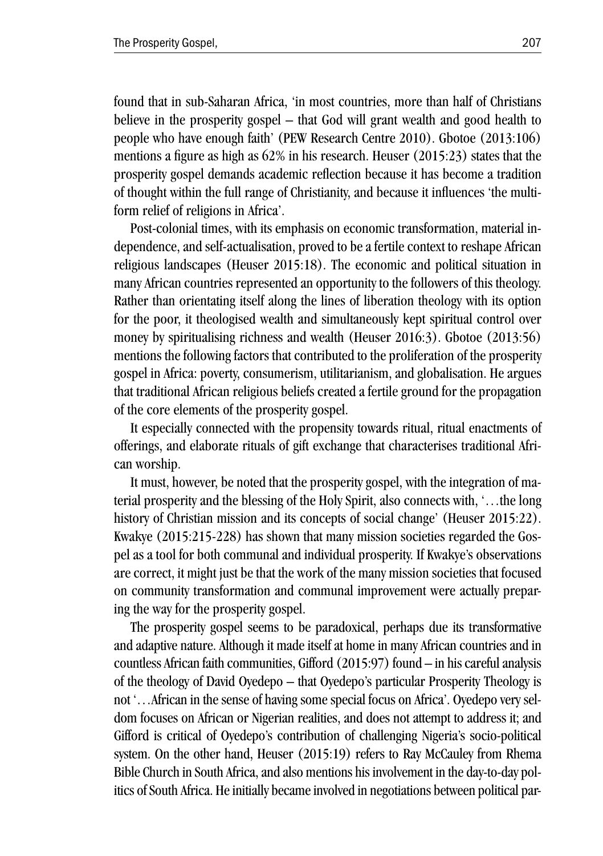found that in sub-Saharan Africa, 'in most countries, more than half of Christians believe in the prosperity gospel – that God will grant wealth and good health to people who have enough faith' (PEW Research Centre 2010). Gbotoe (2013:106) mentions a figure as high as  $62\%$  in his research. Heuser  $(2015:23)$  states that the prosperity gospel demands academic reflection because it has become a tradition of thought within the full range of Christianity, and because it influences 'the multiform relief of religions in Africa'.

Post-colonial times, with its emphasis on economic transformation, material independence, and self-actualisation, proved to be a fertile context to reshape African religious landscapes (Heuser 2015:18). The economic and political situation in many African countries represented an opportunity to the followers of this theology. Rather than orientating itself along the lines of liberation theology with its option for the poor, it theologised wealth and simultaneously kept spiritual control over money by spiritualising richness and wealth (Heuser 2016:3). Gbotoe (2013:56) mentions the following factors that contributed to the proliferation of the prosperity gospel in Africa: poverty, consumerism, utilitarianism, and globalisation. He argues that traditional African religious beliefs created a fertile ground for the propagation of the core elements of the prosperity gospel.

It especially connected with the propensity towards ritual, ritual enactments of offerings, and elaborate rituals of gift exchange that characterises traditional African worship.

It must, however, be noted that the prosperity gospel, with the integration of material prosperity and the blessing of the Holy Spirit, also connects with, '…the long history of Christian mission and its concepts of social change' (Heuser 2015:22). Kwakye (2015:215-228) has shown that many mission societies regarded the Gospel as a tool for both communal and individual prosperity. If Kwakye's observations are correct, it might just be that the work of the many mission societies that focused on community transformation and communal improvement were actually preparing the way for the prosperity gospel.

The prosperity gospel seems to be paradoxical, perhaps due its transformative and adaptive nature. Although it made itself at home in many African countries and in countless African faith communities, Gifford (2015:97) found – in his careful analysis of the theology of David Oyedepo – that Oyedepo's particular Prosperity Theology is not '…African in the sense of having some special focus on Africa'. Oyedepo very seldom focuses on African or Nigerian realities, and does not attempt to address it; and Gifford is critical of Oyedepo's contribution of challenging Nigeria's socio-political system. On the other hand, Heuser (2015:19) refers to Ray McCauley from Rhema Bible Church in South Africa, and also mentions his involvement in the day-to-day politics of South Africa. He initially became involved in negotiations between political par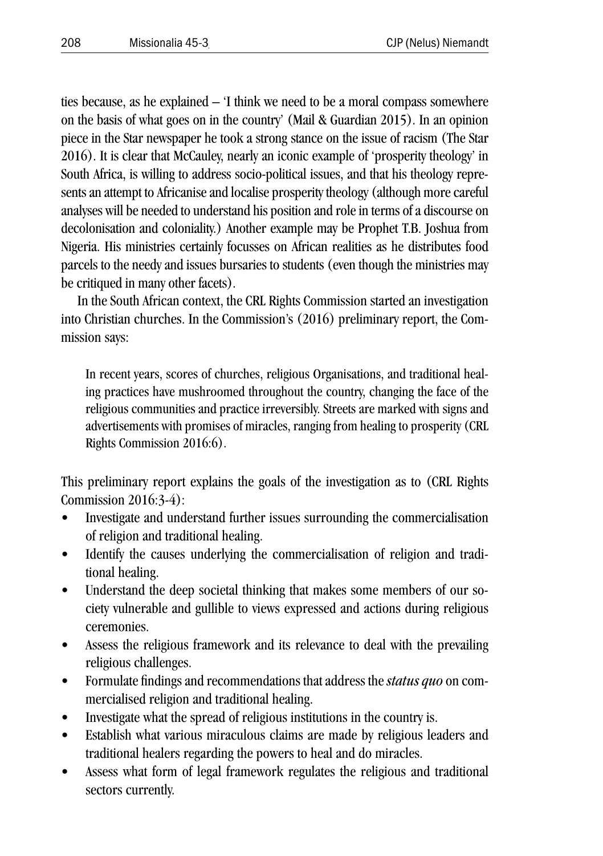ties because, as he explained – 'I think we need to be a moral compass somewhere on the basis of what goes on in the country' (Mail & Guardian 2015). In an opinion piece in the Star newspaper he took a strong stance on the issue of racism (The Star 2016). It is clear that McCauley, nearly an iconic example of 'prosperity theology' in South Africa, is willing to address socio-political issues, and that his theology represents an attempt to Africanise and localise prosperity theology (although more careful analyses will be needed to understand his position and role in terms of a discourse on decolonisation and coloniality.) Another example may be Prophet T.B. Joshua from Nigeria. His ministries certainly focusses on African realities as he distributes food parcels to the needy and issues bursaries to students (even though the ministries may be critiqued in many other facets).

In the South African context, the CRL Rights Commission started an investigation into Christian churches. In the Commission's (2016) preliminary report, the Commission says:

In recent years, scores of churches, religious Organisations, and traditional healing practices have mushroomed throughout the country, changing the face of the religious communities and practice irreversibly. Streets are marked with signs and advertisements with promises of miracles, ranging from healing to prosperity (CRL Rights Commission 2016:6).

This preliminary report explains the goals of the investigation as to (CRL Rights Commission 2016:3-4):

- Investigate and understand further issues surrounding the commercialisation of religion and traditional healing.
- Identify the causes underlying the commercialisation of religion and traditional healing.
- Understand the deep societal thinking that makes some members of our society vulnerable and gullible to views expressed and actions during religious ceremonies.
- Assess the religious framework and its relevance to deal with the prevailing religious challenges.
- Formulate findings and recommendations that address the *status quo* on commercialised religion and traditional healing.
- Investigate what the spread of religious institutions in the country is.
- Establish what various miraculous claims are made by religious leaders and traditional healers regarding the powers to heal and do miracles.
- Assess what form of legal framework regulates the religious and traditional sectors currently.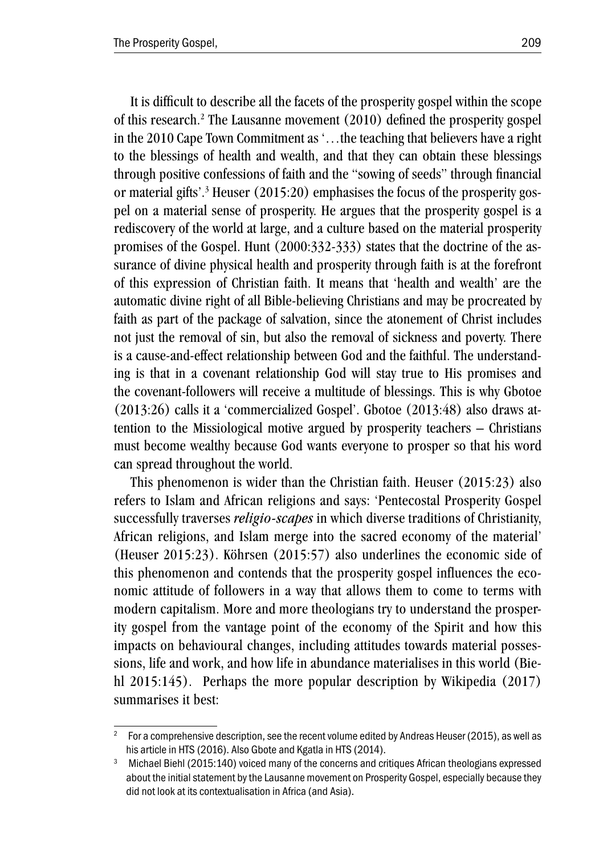It is difficult to describe all the facets of the prosperity gospel within the scope of this research.<sup>2</sup> The Lausanne movement (2010) defined the prosperity gospel in the 2010 Cape Town Commitment as '…the teaching that believers have a right to the blessings of health and wealth, and that they can obtain these blessings through positive confessions of faith and the "sowing of seeds" through financial or material gifts'.<sup>3</sup> Heuser (2015:20) emphasises the focus of the prosperity gospel on a material sense of prosperity. He argues that the prosperity gospel is a rediscovery of the world at large, and a culture based on the material prosperity promises of the Gospel. Hunt (2000:332-333) states that the doctrine of the assurance of divine physical health and prosperity through faith is at the forefront of this expression of Christian faith. It means that 'health and wealth' are the automatic divine right of all Bible-believing Christians and may be procreated by faith as part of the package of salvation, since the atonement of Christ includes not just the removal of sin, but also the removal of sickness and poverty. There is a cause-and-effect relationship between God and the faithful. The understanding is that in a covenant relationship God will stay true to His promises and the covenant-followers will receive a multitude of blessings. This is why Gbotoe (2013:26) calls it a 'commercialized Gospel'. Gbotoe (2013:48) also draws attention to the Missiological motive argued by prosperity teachers – Christians must become wealthy because God wants everyone to prosper so that his word can spread throughout the world.

This phenomenon is wider than the Christian faith. Heuser (2015:23) also refers to Islam and African religions and says: 'Pentecostal Prosperity Gospel successfully traverses *religio-scapes* in which diverse traditions of Christianity, African religions, and Islam merge into the sacred economy of the material' (Heuser 2015:23). Köhrsen (2015:57) also underlines the economic side of this phenomenon and contends that the prosperity gospel influences the economic attitude of followers in a way that allows them to come to terms with modern capitalism. More and more theologians try to understand the prosperity gospel from the vantage point of the economy of the Spirit and how this impacts on behavioural changes, including attitudes towards material possessions, life and work, and how life in abundance materialises in this world (Biehl 2015:145). Perhaps the more popular description by Wikipedia (2017) summarises it best:

<sup>&</sup>lt;sup>2</sup> For a comprehensive description, see the recent volume edited by Andreas Heuser (2015), as well as his article in HTS (2016). Also Gbote and Kgatla in HTS (2014).<br><sup>3</sup> Michael Biehl (2015:140) voiced many of the concerns and critiques African theologians expressed

about the initial statement by the Lausanne movement on Prosperity Gospel, especially because they did not look at its contextualisation in Africa (and Asia).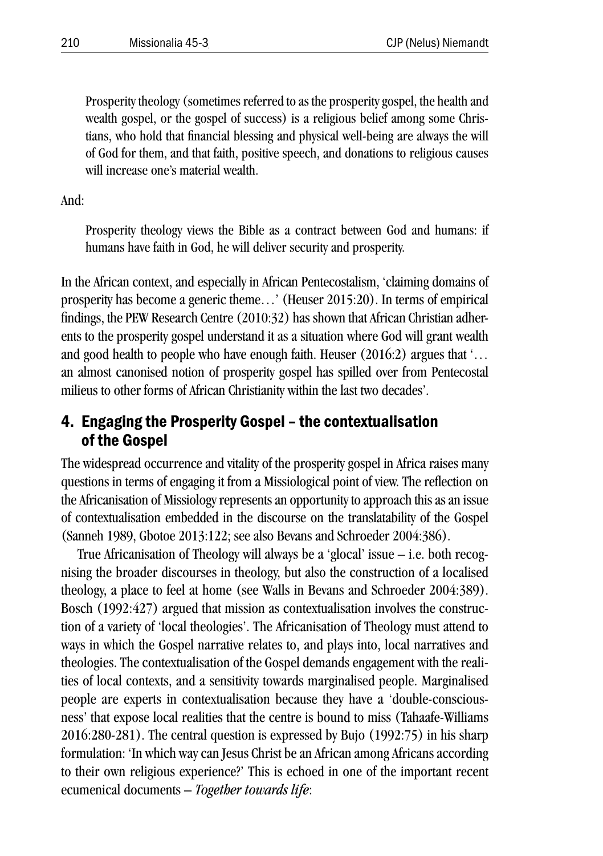Prosperity theology (sometimes referred to as the prosperity gospel, the health and wealth gospel, or the gospel of success) is a religious belief among some Christians, who hold that financial blessing and physical well-being are always the will of God for them, and that faith, positive speech, and donations to religious causes will increase one's material wealth.

And:

Prosperity theology views the Bible as a contract between God and humans: if humans have faith in God, he will deliver security and prosperity.

In the African context, and especially in African Pentecostalism, 'claiming domains of prosperity has become a generic theme…' (Heuser 2015:20). In terms of empirical findings, the PEW Research Centre (2010:32) has shown that African Christian adherents to the prosperity gospel understand it as a situation where God will grant wealth and good health to people who have enough faith. Heuser (2016:2) argues that '… an almost canonised notion of prosperity gospel has spilled over from Pentecostal milieus to other forms of African Christianity within the last two decades'.

### 4. Engaging the Prosperity Gospel – the contextualisation of the Gospel

The widespread occurrence and vitality of the prosperity gospel in Africa raises many questions in terms of engaging it from a Missiological point of view. The reflection on the Africanisation of Missiology represents an opportunity to approach this as an issue of contextualisation embedded in the discourse on the translatability of the Gospel (Sanneh 1989, Gbotoe 2013:122; see also Bevans and Schroeder 2004:386).

True Africanisation of Theology will always be a 'glocal' issue – i.e. both recognising the broader discourses in theology, but also the construction of a localised theology, a place to feel at home (see Walls in Bevans and Schroeder 2004:389). Bosch (1992:427) argued that mission as contextualisation involves the construction of a variety of 'local theologies'. The Africanisation of Theology must attend to ways in which the Gospel narrative relates to, and plays into, local narratives and theologies. The contextualisation of the Gospel demands engagement with the realities of local contexts, and a sensitivity towards marginalised people. Marginalised people are experts in contextualisation because they have a 'double-consciousness' that expose local realities that the centre is bound to miss (Tahaafe-Williams 2016:280-281). The central question is expressed by Bujo (1992:75) in his sharp formulation: 'In which way can Jesus Christ be an African among Africans according to their own religious experience?' This is echoed in one of the important recent ecumenical documents – *Together towards life*: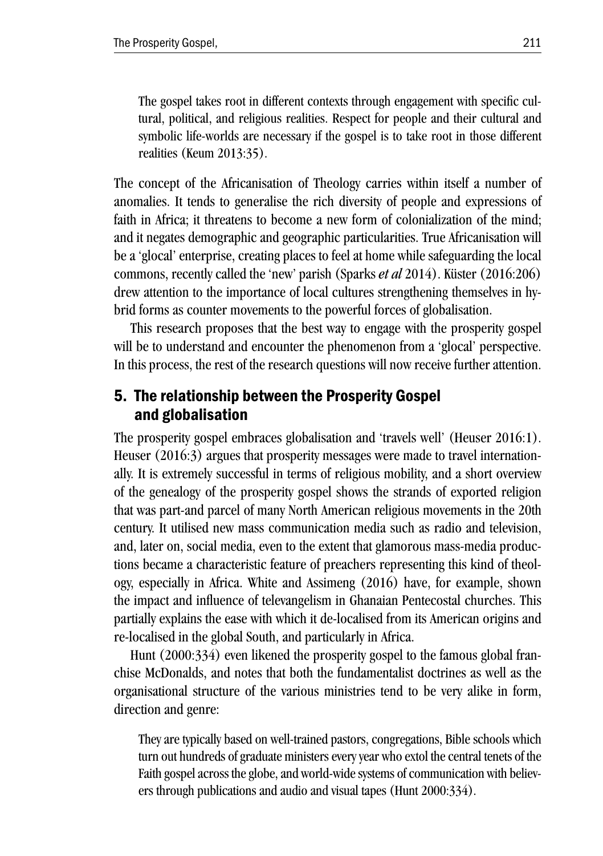The gospel takes root in different contexts through engagement with specific cultural, political, and religious realities. Respect for people and their cultural and symbolic life-worlds are necessary if the gospel is to take root in those different realities (Keum 2013:35).

The concept of the Africanisation of Theology carries within itself a number of anomalies. It tends to generalise the rich diversity of people and expressions of faith in Africa; it threatens to become a new form of colonialization of the mind; and it negates demographic and geographic particularities. True Africanisation will be a 'glocal' enterprise, creating places to feel at home while safeguarding the local commons, recently called the 'new' parish (Sparks *et al* 2014). Küster (2016:206) drew attention to the importance of local cultures strengthening themselves in hybrid forms as counter movements to the powerful forces of globalisation.

This research proposes that the best way to engage with the prosperity gospel will be to understand and encounter the phenomenon from a 'glocal' perspective. In this process, the rest of the research questions will now receive further attention.

### 5. The relationship between the Prosperity Gospel and globalisation

The prosperity gospel embraces globalisation and 'travels well' (Heuser 2016:1). Heuser (2016:3) argues that prosperity messages were made to travel internationally. It is extremely successful in terms of religious mobility, and a short overview of the genealogy of the prosperity gospel shows the strands of exported religion that was part-and parcel of many North American religious movements in the 20th century. It utilised new mass communication media such as radio and television, and, later on, social media, even to the extent that glamorous mass-media productions became a characteristic feature of preachers representing this kind of theology, especially in Africa. White and Assimeng (2016) have, for example, shown the impact and influence of televangelism in Ghanaian Pentecostal churches. This partially explains the ease with which it de-localised from its American origins and re-localised in the global South, and particularly in Africa.

Hunt (2000:334) even likened the prosperity gospel to the famous global franchise McDonalds, and notes that both the fundamentalist doctrines as well as the organisational structure of the various ministries tend to be very alike in form, direction and genre:

They are typically based on well-trained pastors, congregations, Bible schools which turn out hundreds of graduate ministers every year who extol the central tenets of the Faith gospel across the globe, and world-wide systems of communication with believers through publications and audio and visual tapes (Hunt 2000:334).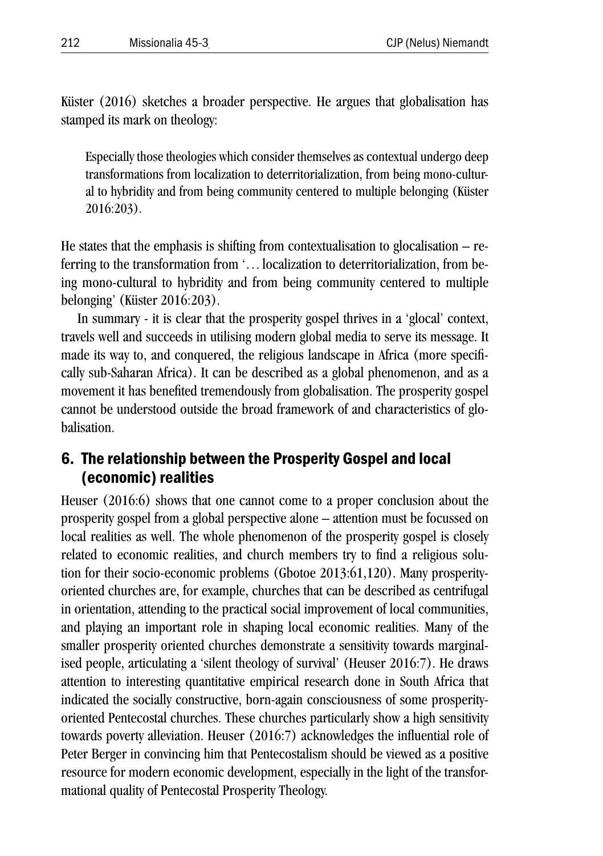Küster (2016) sketches a broader perspective. He argues that globalisation has stamped its mark on theology:

Especially those theologies which consider themselves as contextual undergo deep transformations from localization to deterritorialization, from being mono-cultural to hybridity and from being community centered to multiple belonging (Küster 2016:203).

He states that the emphasis is shifting from contextualisation to glocalisation  $-$  referring to the transformation from '... localization to deterritorialization, from being mono-cultural to hybridity and from being community centered to multiple belonging' (Küster 2016:203).

In summary - it is clear that the prosperity gospel thrives in a 'glocal' context, travels well and succeeds in utilising modern global media to serve its message. It made its way to, and conquered, the religious landscape in Africa (more specifically sub-Saharan Africa). It can be described as a global phenomenon, and as a movement it has benefited tremendously from globalisation. The prosperity gospel cannot be understood outside the broad framework of and characteristics of globalisation.

#### 6. The relationship between the Prosperity Gospel and local (economic) realities

Heuser (2016:6) shows that one cannot come to a proper conclusion about the prosperity gospel from a global perspective alone – attention must be focussed on local realities as well. The whole phenomenon of the prosperity gospel is closely related to economic realities, and church members try to find a religious solution for their socio-economic problems (Gbotoe 2013:61,120). Many prosperityoriented churches are, for example, churches that can be described as centrifugal in orientation, attending to the practical social improvement of local communities, and playing an important role in shaping local economic realities. Many of the smaller prosperity oriented churches demonstrate a sensitivity towards marginalised people, articulating a 'silent theology of survival' (Heuser 2016:7). He draws attention to interesting quantitative empirical research done in South Africa that indicated the socially constructive, born-again consciousness of some prosperityoriented Pentecostal churches. These churches particularly show a high sensitivity towards poverty alleviation. Heuser (2016:7) acknowledges the influential role of Peter Berger in convincing him that Pentecostalism should be viewed as a positive resource for modern economic development, especially in the light of the transformational quality of Pentecostal Prosperity Theology.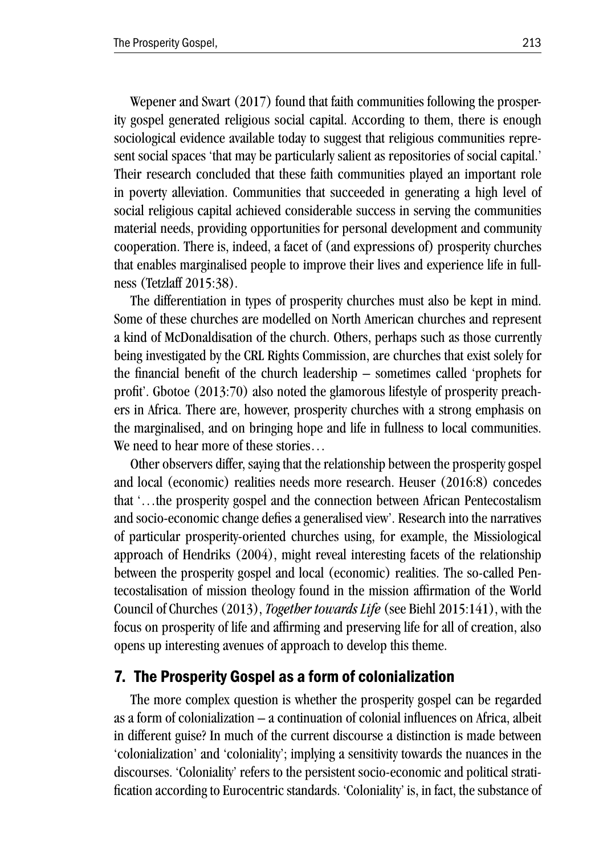Wepener and Swart (2017) found that faith communities following the prosperity gospel generated religious social capital. According to them, there is enough sociological evidence available today to suggest that religious communities represent social spaces 'that may be particularly salient as repositories of social capital.' Their research concluded that these faith communities played an important role in poverty alleviation. Communities that succeeded in generating a high level of social religious capital achieved considerable success in serving the communities material needs, providing opportunities for personal development and community cooperation. There is, indeed, a facet of (and expressions of) prosperity churches that enables marginalised people to improve their lives and experience life in fullness (Tetzlaff 2015:38).

The differentiation in types of prosperity churches must also be kept in mind. Some of these churches are modelled on North American churches and represent a kind of McDonaldisation of the church. Others, perhaps such as those currently being investigated by the CRL Rights Commission, are churches that exist solely for the financial benefit of the church leadership – sometimes called 'prophets for profit'. Gbotoe (2013:70) also noted the glamorous lifestyle of prosperity preachers in Africa. There are, however, prosperity churches with a strong emphasis on the marginalised, and on bringing hope and life in fullness to local communities. We need to hear more of these stories…

Other observers differ, saying that the relationship between the prosperity gospel and local (economic) realities needs more research. Heuser (2016:8) concedes that '…the prosperity gospel and the connection between African Pentecostalism and socio-economic change defies a generalised view'. Research into the narratives of particular prosperity-oriented churches using, for example, the Missiological approach of Hendriks (2004), might reveal interesting facets of the relationship between the prosperity gospel and local (economic) realities. The so-called Pentecostalisation of mission theology found in the mission affirmation of the World Council of Churches (2013), *Together towards Life* (see Biehl 2015:141), with the focus on prosperity of life and affirming and preserving life for all of creation, also opens up interesting avenues of approach to develop this theme.

#### 7. The Prosperity Gospel as a form of colonialization

The more complex question is whether the prosperity gospel can be regarded as a form of colonialization – a continuation of colonial influences on Africa, albeit in different guise? In much of the current discourse a distinction is made between 'colonialization' and 'coloniality'; implying a sensitivity towards the nuances in the discourses. 'Coloniality' refers to the persistent socio-economic and political stratification according to Eurocentric standards. 'Coloniality' is, in fact, the substance of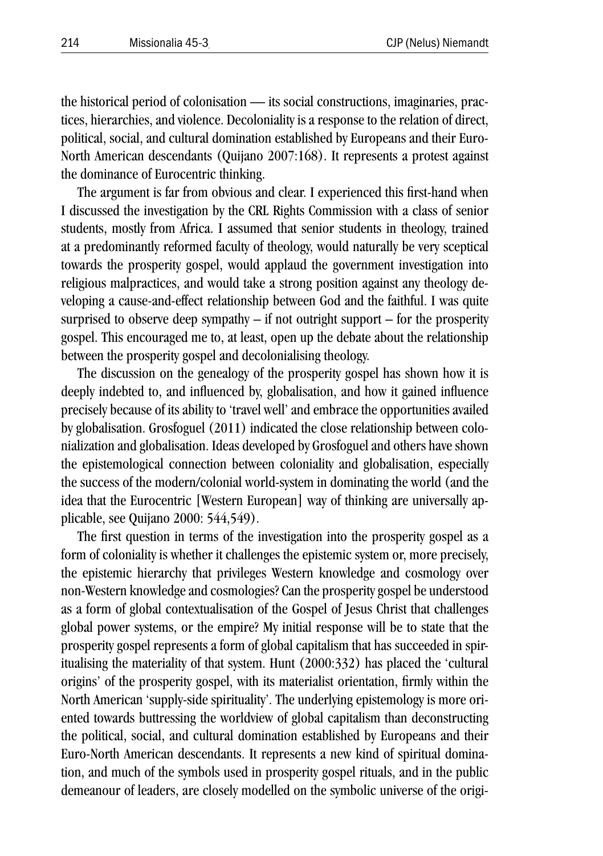the historical period of colonisation — its social constructions, imaginaries, practices, hierarchies, and violence. Decoloniality is a response to the relation of direct, political, social, and cultural domination established by Europeans and their Euro-North American descendants (Quijano 2007:168). It represents a protest against the dominance of Eurocentric thinking.

The argument is far from obvious and clear. I experienced this first-hand when I discussed the investigation by the CRL Rights Commission with a class of senior students, mostly from Africa. I assumed that senior students in theology, trained at a predominantly reformed faculty of theology, would naturally be very sceptical towards the prosperity gospel, would applaud the government investigation into religious malpractices, and would take a strong position against any theology developing a cause-and-effect relationship between God and the faithful. I was quite surprised to observe deep sympathy  $-$  if not outright support  $-$  for the prosperity gospel. This encouraged me to, at least, open up the debate about the relationship between the prosperity gospel and decolonialising theology.

The discussion on the genealogy of the prosperity gospel has shown how it is deeply indebted to, and influenced by, globalisation, and how it gained influence precisely because of its ability to 'travel well' and embrace the opportunities availed by globalisation. Grosfoguel (2011) indicated the close relationship between colonialization and globalisation. Ideas developed by Grosfoguel and others have shown the epistemological connection between coloniality and globalisation, especially the success of the modern/colonial world-system in dominating the world (and the idea that the Eurocentric [Western European] way of thinking are universally applicable, see Quijano 2000: 544,549).

The first question in terms of the investigation into the prosperity gospel as a form of coloniality is whether it challenges the epistemic system or, more precisely, the epistemic hierarchy that privileges Western knowledge and cosmology over non-Western knowledge and cosmologies? Can the prosperity gospel be understood as a form of global contextualisation of the Gospel of Jesus Christ that challenges global power systems, or the empire? My initial response will be to state that the prosperity gospel represents a form of global capitalism that has succeeded in spiritualising the materiality of that system. Hunt (2000:332) has placed the 'cultural origins' of the prosperity gospel, with its materialist orientation, firmly within the North American 'supply-side spirituality'. The underlying epistemology is more oriented towards buttressing the worldview of global capitalism than deconstructing the political, social, and cultural domination established by Europeans and their Euro-North American descendants. It represents a new kind of spiritual domination, and much of the symbols used in prosperity gospel rituals, and in the public demeanour of leaders, are closely modelled on the symbolic universe of the origi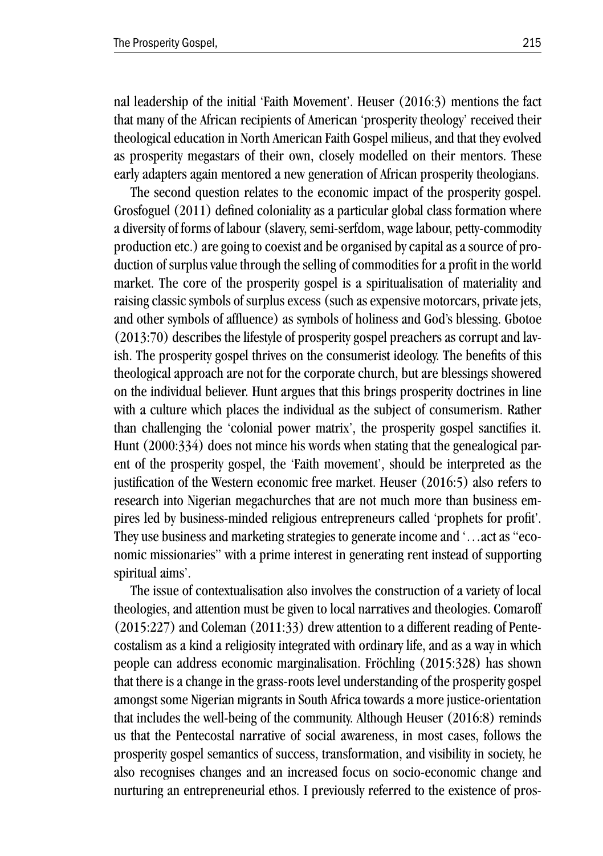nal leadership of the initial 'Faith Movement'. Heuser (2016:3) mentions the fact that many of the African recipients of American 'prosperity theology' received their theological education in North American Faith Gospel milieus, and that they evolved as prosperity megastars of their own, closely modelled on their mentors. These early adapters again mentored a new generation of African prosperity theologians.

The second question relates to the economic impact of the prosperity gospel. Grosfoguel (2011) defined coloniality as a particular global class formation where a diversity of forms of labour (slavery, semi-serfdom, wage labour, petty-commodity production etc.) are going to coexist and be organised by capital as a source of production of surplus value through the selling of commodities for a profit in the world market. The core of the prosperity gospel is a spiritualisation of materiality and raising classic symbols of surplus excess (such as expensive motorcars, private jets, and other symbols of affluence) as symbols of holiness and God's blessing. Gbotoe (2013:70) describes the lifestyle of prosperity gospel preachers as corrupt and lavish. The prosperity gospel thrives on the consumerist ideology. The benefits of this theological approach are not for the corporate church, but are blessings showered on the individual believer. Hunt argues that this brings prosperity doctrines in line with a culture which places the individual as the subject of consumerism. Rather than challenging the 'colonial power matrix', the prosperity gospel sanctifies it. Hunt (2000:334) does not mince his words when stating that the genealogical parent of the prosperity gospel, the 'Faith movement', should be interpreted as the justification of the Western economic free market. Heuser (2016:5) also refers to research into Nigerian megachurches that are not much more than business empires led by business-minded religious entrepreneurs called 'prophets for profit'. They use business and marketing strategies to generate income and '…act as "economic missionaries" with a prime interest in generating rent instead of supporting spiritual aims'.

The issue of contextualisation also involves the construction of a variety of local theologies, and attention must be given to local narratives and theologies. Comaroff (2015:227) and Coleman (2011:33) drew attention to a different reading of Pentecostalism as a kind a religiosity integrated with ordinary life, and as a way in which people can address economic marginalisation. Fröchling (2015:328) has shown that there is a change in the grass-roots level understanding of the prosperity gospel amongst some Nigerian migrants in South Africa towards a more justice-orientation that includes the well-being of the community. Although Heuser (2016:8) reminds us that the Pentecostal narrative of social awareness, in most cases, follows the prosperity gospel semantics of success, transformation, and visibility in society, he also recognises changes and an increased focus on socio-economic change and nurturing an entrepreneurial ethos. I previously referred to the existence of pros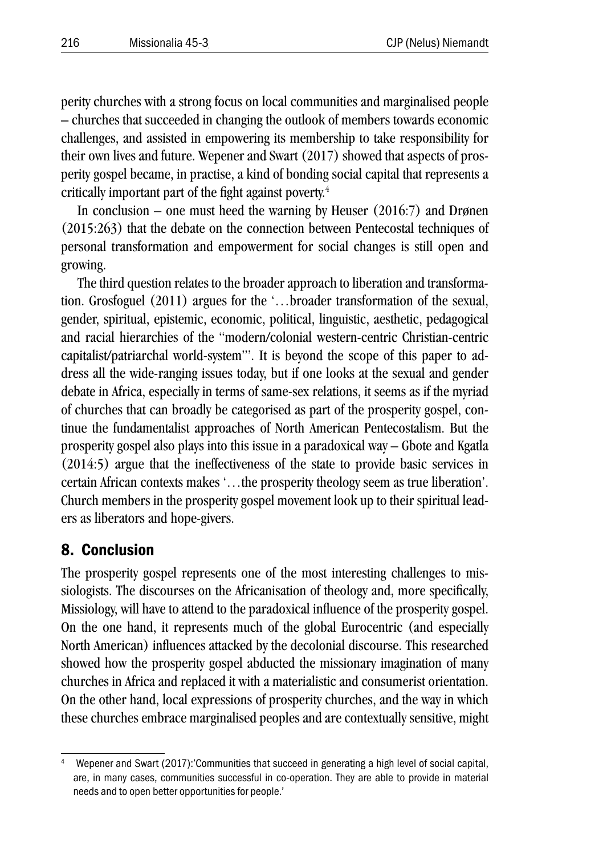perity churches with a strong focus on local communities and marginalised people – churches that succeeded in changing the outlook of members towards economic challenges, and assisted in empowering its membership to take responsibility for their own lives and future. Wepener and Swart (2017) showed that aspects of prosperity gospel became, in practise, a kind of bonding social capital that represents a critically important part of the fight against poverty.<sup>4</sup>

In conclusion – one must heed the warning by Heuser (2016:7) and Drønen (2015:263) that the debate on the connection between Pentecostal techniques of personal transformation and empowerment for social changes is still open and growing.

The third question relates to the broader approach to liberation and transformation. Grosfoguel (2011) argues for the '…broader transformation of the sexual, gender, spiritual, epistemic, economic, political, linguistic, aesthetic, pedagogical and racial hierarchies of the "modern/colonial western-centric Christian-centric capitalist/patriarchal world-system"'. It is beyond the scope of this paper to address all the wide-ranging issues today, but if one looks at the sexual and gender debate in Africa, especially in terms of same-sex relations, it seems as if the myriad of churches that can broadly be categorised as part of the prosperity gospel, continue the fundamentalist approaches of North American Pentecostalism. But the prosperity gospel also plays into this issue in a paradoxical way – Gbote and Kgatla (2014:5) argue that the ineffectiveness of the state to provide basic services in certain African contexts makes '…the prosperity theology seem as true liberation'. Church members in the prosperity gospel movement look up to their spiritual leaders as liberators and hope-givers.

#### 8. Conclusion

The prosperity gospel represents one of the most interesting challenges to missiologists. The discourses on the Africanisation of theology and, more specifically, Missiology, will have to attend to the paradoxical influence of the prosperity gospel. On the one hand, it represents much of the global Eurocentric (and especially North American) influences attacked by the decolonial discourse. This researched showed how the prosperity gospel abducted the missionary imagination of many churches in Africa and replaced it with a materialistic and consumerist orientation. On the other hand, local expressions of prosperity churches, and the way in which these churches embrace marginalised peoples and are contextually sensitive, might

Wepener and Swart (2017):'Communities that succeed in generating a high level of social capital, are, in many cases, communities successful in co-operation. They are able to provide in material needs and to open better opportunities for people.'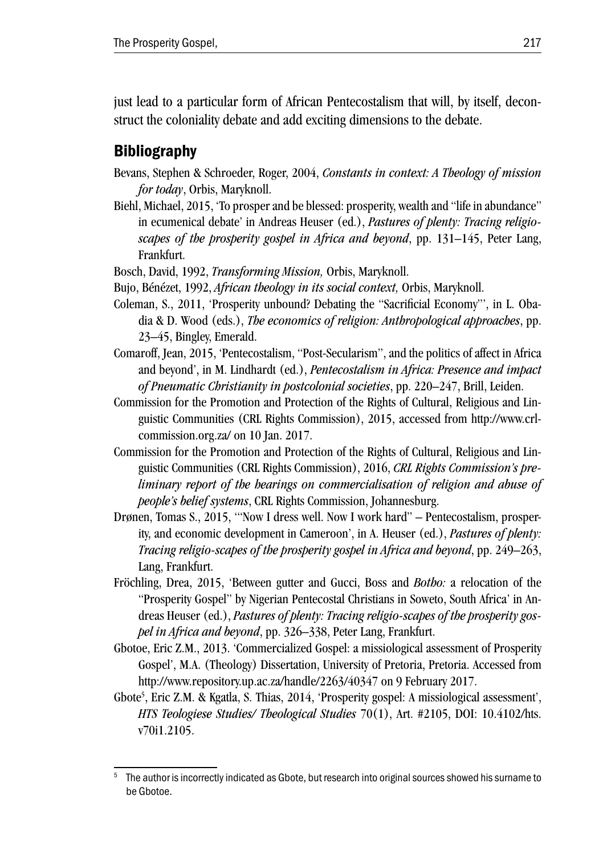just lead to a particular form of African Pentecostalism that will, by itself, deconstruct the coloniality debate and add exciting dimensions to the debate.

## **Bibliography**

- Bevans, Stephen & Schroeder, Roger, 2004, *Constants in context: A Theology of mission for today*, Orbis, Maryknoll.
- Biehl, Michael, 2015, 'To prosper and be blessed: prosperity, wealth and "life in abundance" in ecumenical debate' in Andreas Heuser (ed.), *Pastures of plenty: Tracing religioscapes of the prosperity gospel in Africa and beyond*, pp. 131–145, Peter Lang, Frankfurt.
- Bosch, David, 1992, *Transforming Mission,* Orbis, Maryknoll.
- Bujo, Bénézet, 1992, *African theology in its social context,* Orbis, Maryknoll.
- Coleman, S., 2011, 'Prosperity unbound? Debating the "Sacrificial Economy"', in L. Obadia & D. Wood (eds.), *The economics of religion: Anthropological approaches*, pp. 23–45, Bingley, Emerald.
- Comaroff, Jean, 2015, 'Pentecostalism, "Post-Secularism", and the politics of affect in Africa and beyond', in M. Lindhardt (ed.), *Pentecostalism in Africa: Presence and impact of Pneumatic Christianity in postcolonial societies*, pp. 220–247, Brill, Leiden.
- Commission for the Promotion and Protection of the Rights of Cultural, Religious and Linguistic Communities (CRL Rights Commission), 2015, accessed from http://www.crlcommission.org.za/ on 10 Jan. 2017.
- Commission for the Promotion and Protection of the Rights of Cultural, Religious and Linguistic Communities (CRL Rights Commission), 2016, *CRL Rights Commission's preliminary report of the hearings on commercialisation of religion and abuse of people's belief systems*, CRL Rights Commission, Johannesburg.
- Drønen, Tomas S., 2015, '"Now I dress well. Now I work hard" Pentecostalism, prosperity, and economic development in Cameroon', in A. Heuser (ed.), *Pastures of plenty: Tracing religio-scapes of the prosperity gospel in Africa and beyond*, pp. 249–263, Lang, Frankfurt.
- Fröchling, Drea, 2015, 'Between gutter and Gucci, Boss and *Botho:* a relocation of the "Prosperity Gospel" by Nigerian Pentecostal Christians in Soweto, South Africa' in Andreas Heuser (ed.), *Pastures of plenty: Tracing religio-scapes of the prosperity gospel in Africa and beyond*, pp. 326–338, Peter Lang, Frankfurt.
- Gbotoe, Eric Z.M., 2013. 'Commercialized Gospel: a missiological assessment of Prosperity Gospel', M.A. (Theology) Dissertation, University of Pretoria, Pretoria. Accessed from http://www.repository.up.ac.za/handle/2263/40347 on 9 February 2017.
- Gbote<sup>5</sup>, Eric Z.M. & Kgatla, S. Thias, 2014, 'Prosperity gospel: A missiological assessment', *HTS Teologiese Studies/ Theological Studies* 70(1), Art. #2105, DOI: 10.4102/hts. v70i1.2105.

The author is incorrectly indicated as Gbote, but research into original sources showed his surname to be Gbotoe.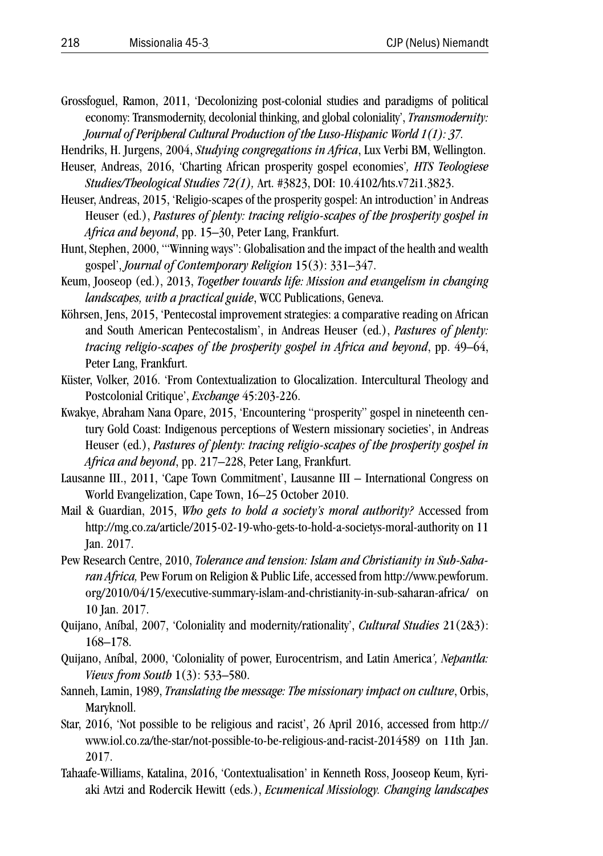- Grossfoguel, Ramon, 2011, 'Decolonizing post-colonial studies and paradigms of political economy: Transmodernity, decolonial thinking, and global coloniality', *Transmodernity: Journal of Peripheral Cultural Production of the Luso-Hispanic World 1(1): 37.*
- Hendriks, H. Jurgens, 2004, *Studying congregations in Africa*, Lux Verbi BM, Wellington.
- Heuser, Andreas, 2016, 'Charting African prosperity gospel economies'*, HTS Teologiese Studies/Theological Studies 72(1),* Art. #3823, DOI: 10.4102/hts.v72i1.3823.
- Heuser, Andreas, 2015, 'Religio-scapes of the prosperity gospel: An introduction' in Andreas Heuser (ed.), *Pastures of plenty: tracing religio-scapes of the prosperity gospel in Africa and beyond*, pp. 15–30, Peter Lang, Frankfurt.
- Hunt, Stephen, 2000, '"Winning ways": Globalisation and the impact of the health and wealth gospel', *Journal of Contemporary Religion* 15(3): 331–347.
- Keum, Jooseop (ed.), 2013, *Together towards life: Mission and evangelism in changing landscapes, with a practical guide*, WCC Publications, Geneva.
- Köhrsen, Jens, 2015, 'Pentecostal improvement strategies: a comparative reading on African and South American Pentecostalism', in Andreas Heuser (ed.), *Pastures of plenty: tracing religio-scapes of the prosperity gospel in Africa and beyond*, pp. 49–64, Peter Lang, Frankfurt.
- Küster, Volker, 2016. 'From Contextualization to Glocalization. Intercultural Theology and Postcolonial Critique', *Exchange* 45:203-226.
- Kwakye, Abraham Nana Opare, 2015, 'Encountering "prosperity" gospel in nineteenth century Gold Coast: Indigenous perceptions of Western missionary societies', in Andreas Heuser (ed.), *Pastures of plenty: tracing religio-scapes of the prosperity gospel in Africa and beyond*, pp. 217–228, Peter Lang, Frankfurt.
- Lausanne III., 2011, 'Cape Town Commitment', Lausanne III International Congress on World Evangelization, Cape Town, 16–25 October 2010.
- Mail & Guardian, 2015, *Who gets to hold a society's moral authority?* Accessed from http://mg.co.za/article/2015-02-19-who-gets-to-hold-a-societys-moral-authority on 11 Jan. 2017.
- Pew Research Centre, 2010, *Tolerance and tension: Islam and Christianity in Sub-Saharan Africa,* Pew Forum on Religion & Public Life, accessed from http://www.pewforum. org/2010/04/15/executive-summary-islam-and-christianity-in-sub-saharan-africa/ on 10 Jan. 2017.
- Quijano, Aníbal, 2007, 'Coloniality and modernity/rationality', *Cultural Studies* 21(2&3): 168–178.
- Quijano, Aníbal, 2000, 'Coloniality of power, Eurocentrism, and Latin America*', Nepantla: Views from South* 1(3): 533–580.
- Sanneh, Lamin, 1989, *Translating the message: The missionary impact on culture*, Orbis, Maryknoll.
- Star, 2016, 'Not possible to be religious and racist', 26 April 2016, accessed from http:// www.iol.co.za/the-star/not-possible-to-be-religious-and-racist-2014589 on 11th Jan. 2017.
- Tahaafe-Williams, Katalina, 2016, 'Contextualisation' in Kenneth Ross, Jooseop Keum, Kyriaki Avtzi and Rodercik Hewitt (eds.), *Ecumenical Missiology. Changing landscapes*